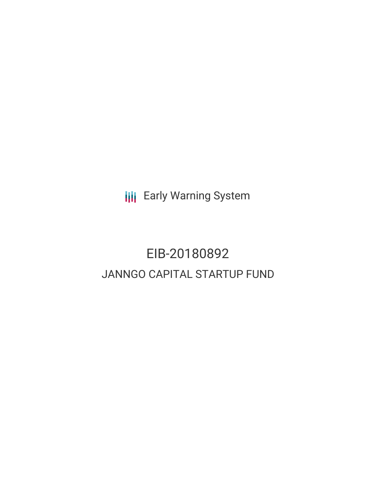**III** Early Warning System

# EIB-20180892 JANNGO CAPITAL STARTUP FUND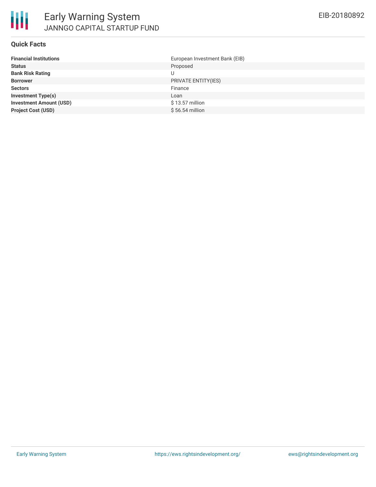

#### **Quick Facts**

| European Investment Bank (EIB) |
|--------------------------------|
| Proposed                       |
| U                              |
| PRIVATE ENTITY(IES)            |
| Finance                        |
| Loan                           |
| \$13.57 million                |
| $$56.54$ million               |
|                                |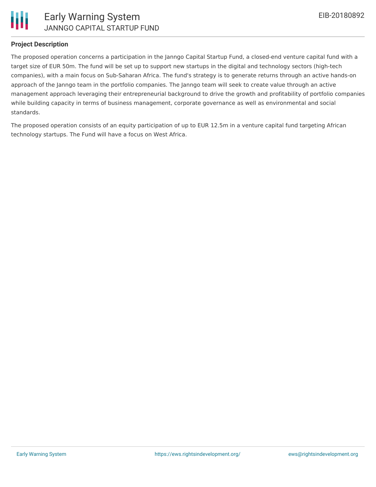

# **Project Description**

The proposed operation concerns a participation in the Janngo Capital Startup Fund, a closed-end venture capital fund with a target size of EUR 50m. The fund will be set up to support new startups in the digital and technology sectors (high-tech companies), with a main focus on Sub-Saharan Africa. The fund's strategy is to generate returns through an active hands-on approach of the Janngo team in the portfolio companies. The Janngo team will seek to create value through an active management approach leveraging their entrepreneurial background to drive the growth and profitability of portfolio companies while building capacity in terms of business management, corporate governance as well as environmental and social standards.

The proposed operation consists of an equity participation of up to EUR 12.5m in a venture capital fund targeting African technology startups. The Fund will have a focus on West Africa.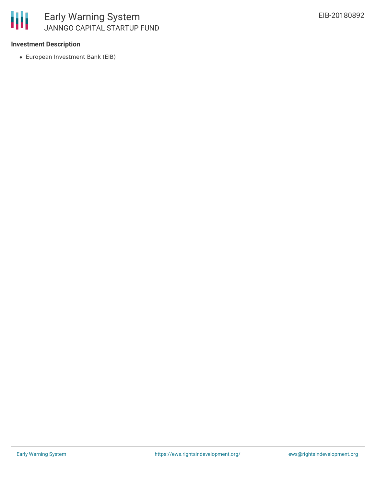## **Investment Description**

European Investment Bank (EIB)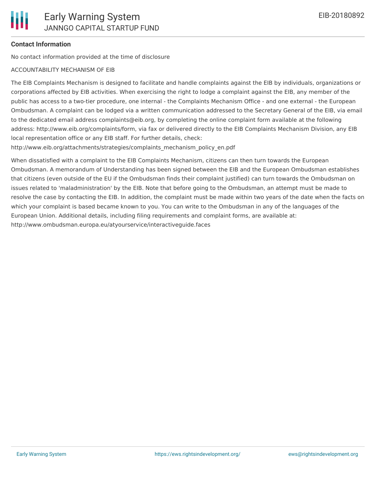# **Contact Information**

No contact information provided at the time of disclosure

#### ACCOUNTABILITY MECHANISM OF EIB

The EIB Complaints Mechanism is designed to facilitate and handle complaints against the EIB by individuals, organizations or corporations affected by EIB activities. When exercising the right to lodge a complaint against the EIB, any member of the public has access to a two-tier procedure, one internal - the Complaints Mechanism Office - and one external - the European Ombudsman. A complaint can be lodged via a written communication addressed to the Secretary General of the EIB, via email to the dedicated email address complaints@eib.org, by completing the online complaint form available at the following address: http://www.eib.org/complaints/form, via fax or delivered directly to the EIB Complaints Mechanism Division, any EIB local representation office or any EIB staff. For further details, check:

http://www.eib.org/attachments/strategies/complaints\_mechanism\_policy\_en.pdf

When dissatisfied with a complaint to the EIB Complaints Mechanism, citizens can then turn towards the European Ombudsman. A memorandum of Understanding has been signed between the EIB and the European Ombudsman establishes that citizens (even outside of the EU if the Ombudsman finds their complaint justified) can turn towards the Ombudsman on issues related to 'maladministration' by the EIB. Note that before going to the Ombudsman, an attempt must be made to resolve the case by contacting the EIB. In addition, the complaint must be made within two years of the date when the facts on which your complaint is based became known to you. You can write to the Ombudsman in any of the languages of the European Union. Additional details, including filing requirements and complaint forms, are available at: http://www.ombudsman.europa.eu/atyourservice/interactiveguide.faces